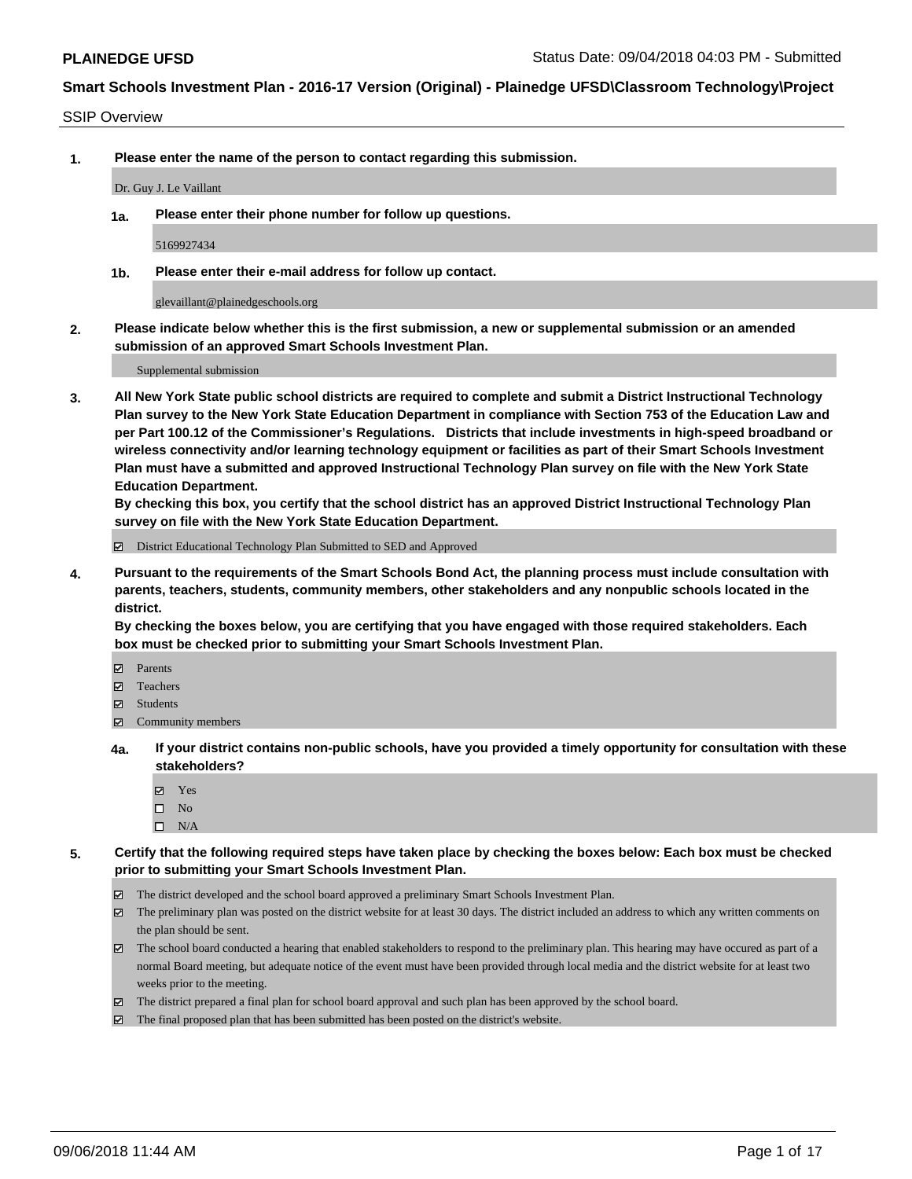#### SSIP Overview

**1. Please enter the name of the person to contact regarding this submission.**

Dr. Guy J. Le Vaillant

**1a. Please enter their phone number for follow up questions.**

5169927434

**1b. Please enter their e-mail address for follow up contact.**

glevaillant@plainedgeschools.org

**2. Please indicate below whether this is the first submission, a new or supplemental submission or an amended submission of an approved Smart Schools Investment Plan.**

Supplemental submission

**3. All New York State public school districts are required to complete and submit a District Instructional Technology Plan survey to the New York State Education Department in compliance with Section 753 of the Education Law and per Part 100.12 of the Commissioner's Regulations. Districts that include investments in high-speed broadband or wireless connectivity and/or learning technology equipment or facilities as part of their Smart Schools Investment Plan must have a submitted and approved Instructional Technology Plan survey on file with the New York State Education Department.** 

**By checking this box, you certify that the school district has an approved District Instructional Technology Plan survey on file with the New York State Education Department.**

District Educational Technology Plan Submitted to SED and Approved

**4. Pursuant to the requirements of the Smart Schools Bond Act, the planning process must include consultation with parents, teachers, students, community members, other stakeholders and any nonpublic schools located in the district.** 

**By checking the boxes below, you are certifying that you have engaged with those required stakeholders. Each box must be checked prior to submitting your Smart Schools Investment Plan.**

- **Parents**
- Teachers
- **☑** Students
- **☑** Community members
- **4a. If your district contains non-public schools, have you provided a timely opportunity for consultation with these stakeholders?**
	- **Ø** Yes
	- $\square$  No
	- $\square$  N/A
- **5. Certify that the following required steps have taken place by checking the boxes below: Each box must be checked prior to submitting your Smart Schools Investment Plan.**
	- The district developed and the school board approved a preliminary Smart Schools Investment Plan.
	- $\boxtimes$  The preliminary plan was posted on the district website for at least 30 days. The district included an address to which any written comments on the plan should be sent.
	- The school board conducted a hearing that enabled stakeholders to respond to the preliminary plan. This hearing may have occured as part of a normal Board meeting, but adequate notice of the event must have been provided through local media and the district website for at least two weeks prior to the meeting.
	- The district prepared a final plan for school board approval and such plan has been approved by the school board.
	- The final proposed plan that has been submitted has been posted on the district's website.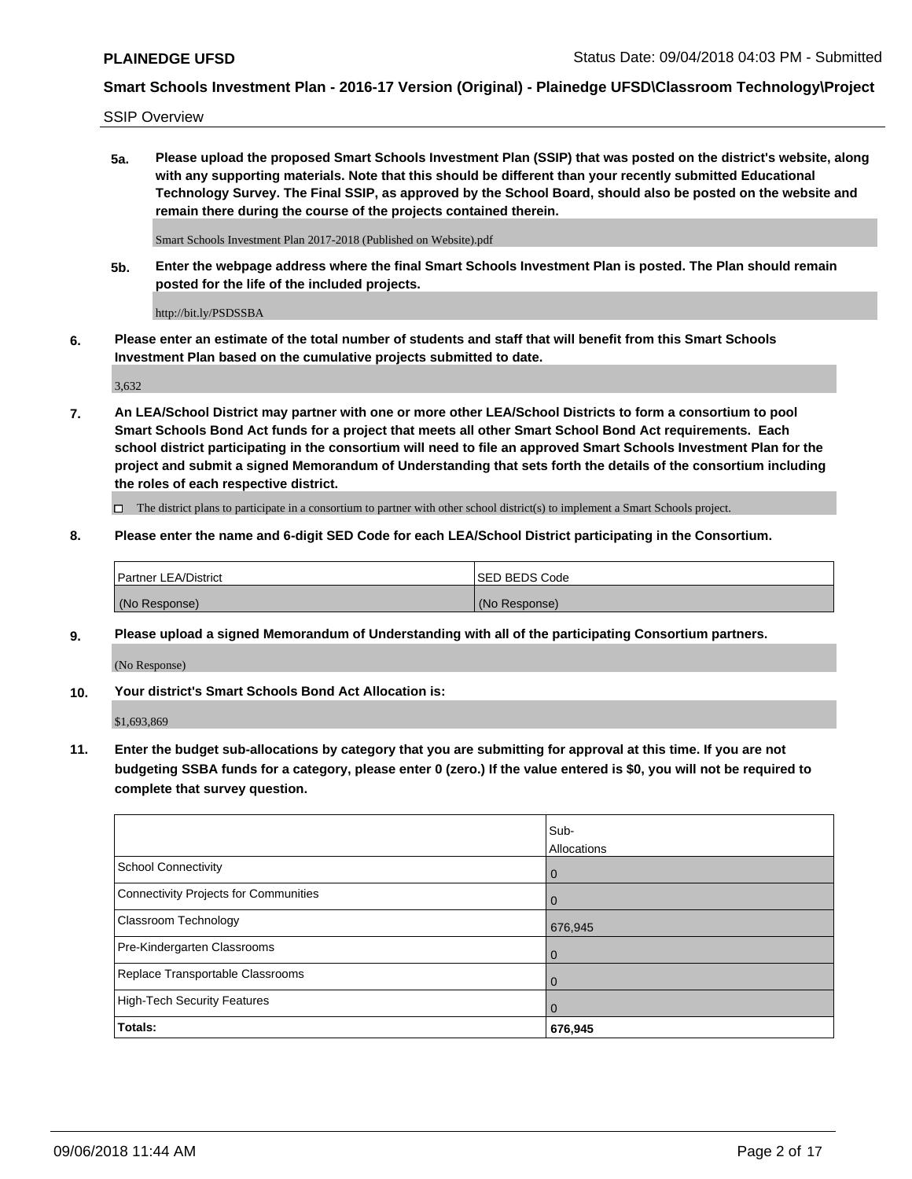SSIP Overview

**5a. Please upload the proposed Smart Schools Investment Plan (SSIP) that was posted on the district's website, along with any supporting materials. Note that this should be different than your recently submitted Educational Technology Survey. The Final SSIP, as approved by the School Board, should also be posted on the website and remain there during the course of the projects contained therein.**

Smart Schools Investment Plan 2017-2018 (Published on Website).pdf

**5b. Enter the webpage address where the final Smart Schools Investment Plan is posted. The Plan should remain posted for the life of the included projects.**

http://bit.ly/PSDSSBA

**6. Please enter an estimate of the total number of students and staff that will benefit from this Smart Schools Investment Plan based on the cumulative projects submitted to date.**

3,632

**7. An LEA/School District may partner with one or more other LEA/School Districts to form a consortium to pool Smart Schools Bond Act funds for a project that meets all other Smart School Bond Act requirements. Each school district participating in the consortium will need to file an approved Smart Schools Investment Plan for the project and submit a signed Memorandum of Understanding that sets forth the details of the consortium including the roles of each respective district.**

 $\Box$  The district plans to participate in a consortium to partner with other school district(s) to implement a Smart Schools project.

#### **8. Please enter the name and 6-digit SED Code for each LEA/School District participating in the Consortium.**

| <sup>1</sup> Partner LEA/District | <b>ISED BEDS Code</b> |
|-----------------------------------|-----------------------|
| (No Response)                     | (No Response)         |

#### **9. Please upload a signed Memorandum of Understanding with all of the participating Consortium partners.**

(No Response)

**10. Your district's Smart Schools Bond Act Allocation is:**

\$1,693,869

**11. Enter the budget sub-allocations by category that you are submitting for approval at this time. If you are not budgeting SSBA funds for a category, please enter 0 (zero.) If the value entered is \$0, you will not be required to complete that survey question.**

|                                       | Sub-<br>Allocations |
|---------------------------------------|---------------------|
| <b>School Connectivity</b>            | $\mathbf 0$         |
| Connectivity Projects for Communities | $\Omega$            |
| Classroom Technology                  | 676,945             |
| Pre-Kindergarten Classrooms           | 0                   |
| Replace Transportable Classrooms      | 0                   |
| High-Tech Security Features           | $\Omega$            |
| Totals:                               | 676,945             |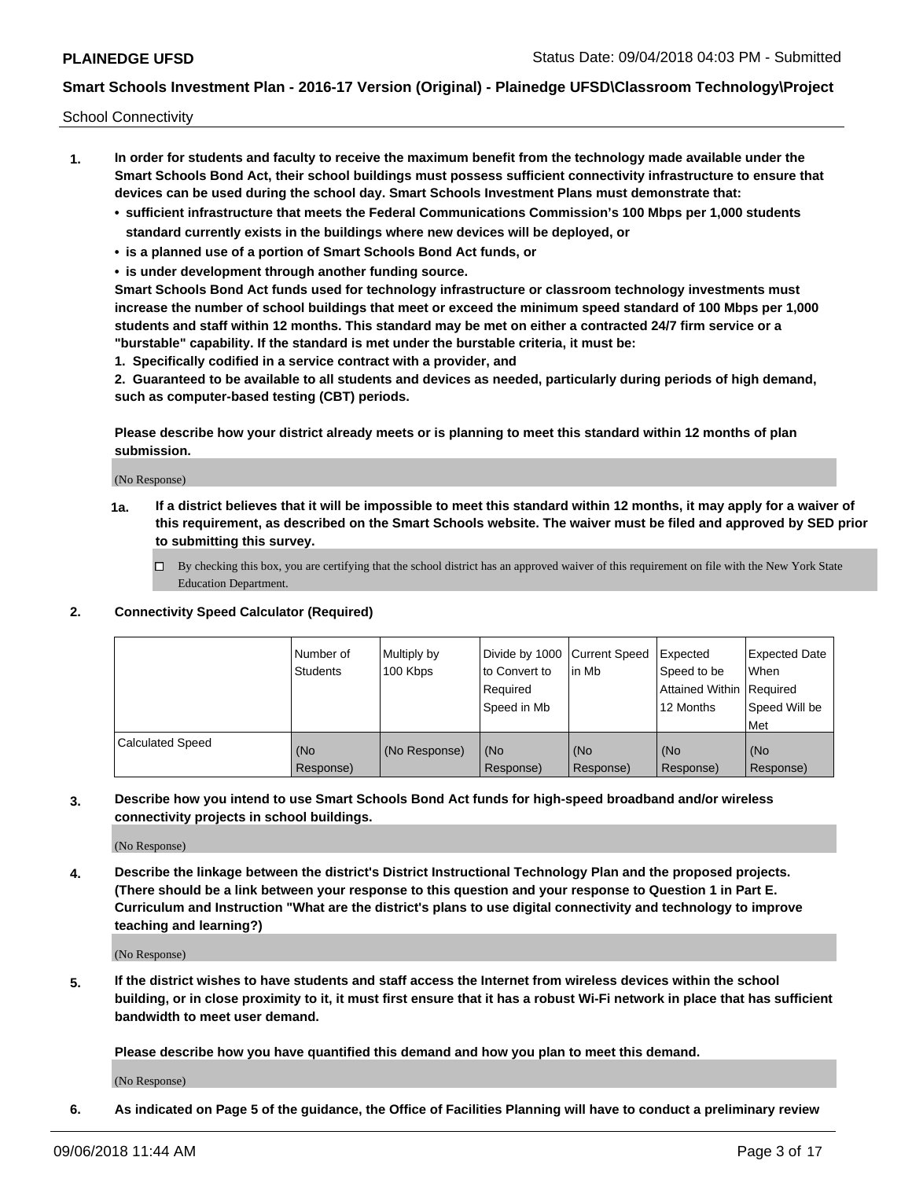School Connectivity

- **1. In order for students and faculty to receive the maximum benefit from the technology made available under the Smart Schools Bond Act, their school buildings must possess sufficient connectivity infrastructure to ensure that devices can be used during the school day. Smart Schools Investment Plans must demonstrate that:**
	- **• sufficient infrastructure that meets the Federal Communications Commission's 100 Mbps per 1,000 students standard currently exists in the buildings where new devices will be deployed, or**
	- **• is a planned use of a portion of Smart Schools Bond Act funds, or**
	- **• is under development through another funding source.**

**Smart Schools Bond Act funds used for technology infrastructure or classroom technology investments must increase the number of school buildings that meet or exceed the minimum speed standard of 100 Mbps per 1,000 students and staff within 12 months. This standard may be met on either a contracted 24/7 firm service or a "burstable" capability. If the standard is met under the burstable criteria, it must be:**

**1. Specifically codified in a service contract with a provider, and**

**2. Guaranteed to be available to all students and devices as needed, particularly during periods of high demand, such as computer-based testing (CBT) periods.**

**Please describe how your district already meets or is planning to meet this standard within 12 months of plan submission.**

(No Response)

**1a. If a district believes that it will be impossible to meet this standard within 12 months, it may apply for a waiver of this requirement, as described on the Smart Schools website. The waiver must be filed and approved by SED prior to submitting this survey.**

 $\Box$  By checking this box, you are certifying that the school district has an approved waiver of this requirement on file with the New York State Education Department.

#### **2. Connectivity Speed Calculator (Required)**

|                         | Number of<br>Students | Multiply by<br>100 Kbps | Divide by 1000 Current Speed<br>to Convert to<br>Required<br>Speed in Mb | l in Mb          | Expected<br>Speed to be<br>Attained Within   Required<br>12 Months | <b>Expected Date</b><br>When<br>Speed Will be<br><b>Met</b> |
|-------------------------|-----------------------|-------------------------|--------------------------------------------------------------------------|------------------|--------------------------------------------------------------------|-------------------------------------------------------------|
| <b>Calculated Speed</b> | (No<br>Response)      | (No Response)           | (No<br>Response)                                                         | (No<br>Response) | (No<br>Response)                                                   | (No<br>Response)                                            |

**3. Describe how you intend to use Smart Schools Bond Act funds for high-speed broadband and/or wireless connectivity projects in school buildings.**

(No Response)

**4. Describe the linkage between the district's District Instructional Technology Plan and the proposed projects. (There should be a link between your response to this question and your response to Question 1 in Part E. Curriculum and Instruction "What are the district's plans to use digital connectivity and technology to improve teaching and learning?)**

(No Response)

**5. If the district wishes to have students and staff access the Internet from wireless devices within the school building, or in close proximity to it, it must first ensure that it has a robust Wi-Fi network in place that has sufficient bandwidth to meet user demand.**

**Please describe how you have quantified this demand and how you plan to meet this demand.**

(No Response)

**6. As indicated on Page 5 of the guidance, the Office of Facilities Planning will have to conduct a preliminary review**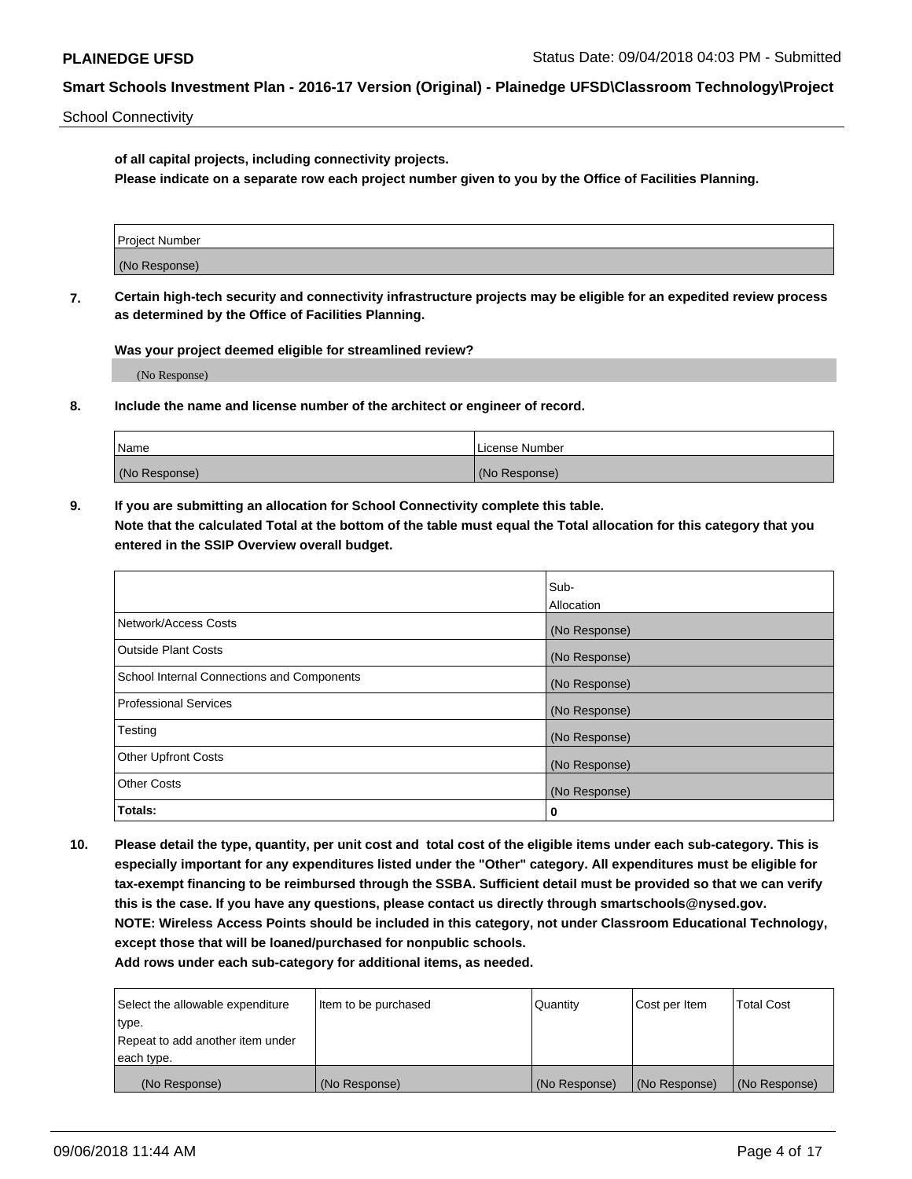School Connectivity

**of all capital projects, including connectivity projects.**

**Please indicate on a separate row each project number given to you by the Office of Facilities Planning.**

**7. Certain high-tech security and connectivity infrastructure projects may be eligible for an expedited review process as determined by the Office of Facilities Planning.**

**Was your project deemed eligible for streamlined review?**

(No Response)

**8. Include the name and license number of the architect or engineer of record.**

| Name          | License Number |
|---------------|----------------|
| (No Response) | (No Response)  |

**9. If you are submitting an allocation for School Connectivity complete this table. Note that the calculated Total at the bottom of the table must equal the Total allocation for this category that you entered in the SSIP Overview overall budget.** 

|                                            | Sub-          |
|--------------------------------------------|---------------|
|                                            | Allocation    |
| Network/Access Costs                       | (No Response) |
| Outside Plant Costs                        | (No Response) |
| School Internal Connections and Components | (No Response) |
| <b>Professional Services</b>               | (No Response) |
| Testing                                    | (No Response) |
| <b>Other Upfront Costs</b>                 | (No Response) |
| <b>Other Costs</b>                         | (No Response) |
| Totals:                                    | 0             |

**10. Please detail the type, quantity, per unit cost and total cost of the eligible items under each sub-category. This is especially important for any expenditures listed under the "Other" category. All expenditures must be eligible for tax-exempt financing to be reimbursed through the SSBA. Sufficient detail must be provided so that we can verify this is the case. If you have any questions, please contact us directly through smartschools@nysed.gov. NOTE: Wireless Access Points should be included in this category, not under Classroom Educational Technology, except those that will be loaned/purchased for nonpublic schools.**

| Select the allowable expenditure | Item to be purchased | Quantity      | Cost per Item | <b>Total Cost</b> |
|----------------------------------|----------------------|---------------|---------------|-------------------|
| type.                            |                      |               |               |                   |
| Repeat to add another item under |                      |               |               |                   |
| each type.                       |                      |               |               |                   |
| (No Response)                    | (No Response)        | (No Response) | (No Response) | (No Response)     |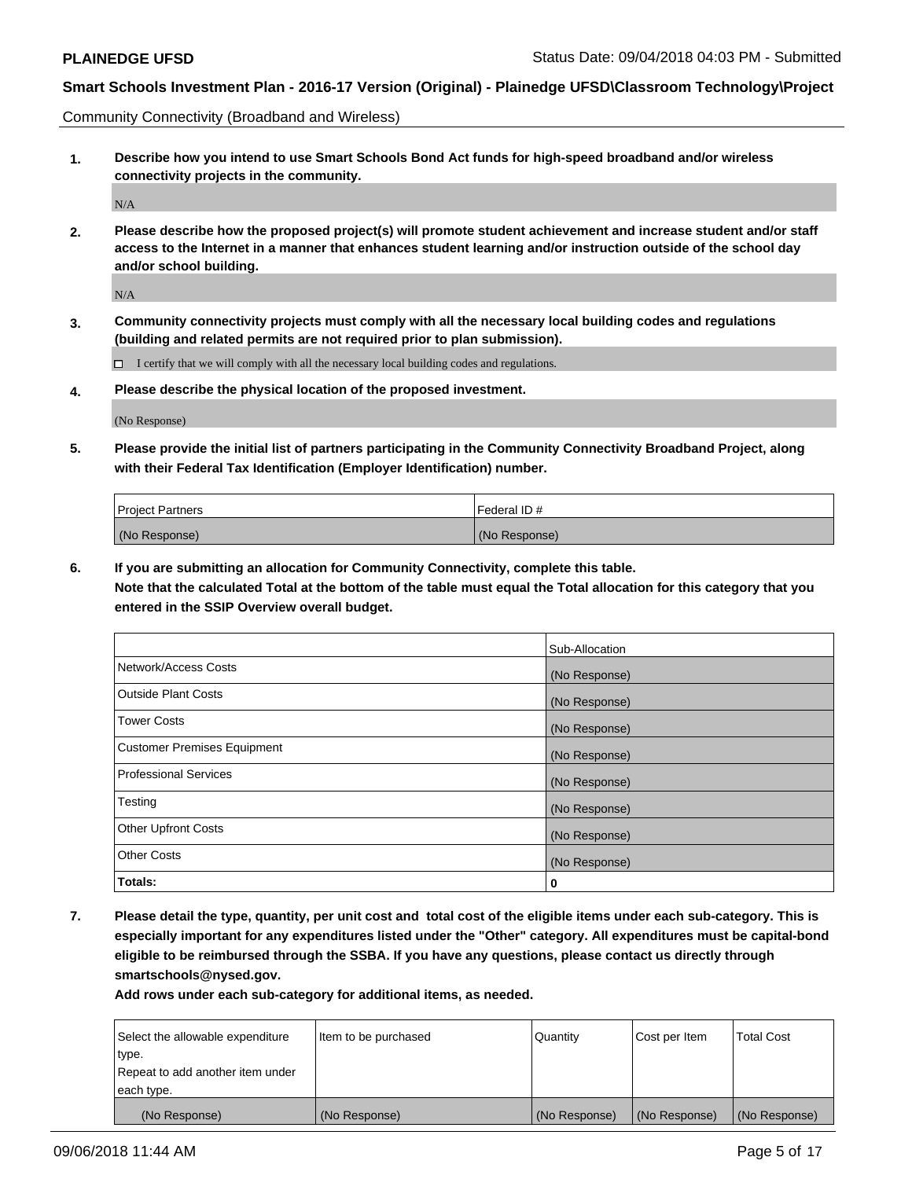Community Connectivity (Broadband and Wireless)

**1. Describe how you intend to use Smart Schools Bond Act funds for high-speed broadband and/or wireless connectivity projects in the community.**

 $\rm N/A$ 

**2. Please describe how the proposed project(s) will promote student achievement and increase student and/or staff access to the Internet in a manner that enhances student learning and/or instruction outside of the school day and/or school building.**

N/A

**3. Community connectivity projects must comply with all the necessary local building codes and regulations (building and related permits are not required prior to plan submission).**

 $\Box$  I certify that we will comply with all the necessary local building codes and regulations.

**4. Please describe the physical location of the proposed investment.**

(No Response)

**5. Please provide the initial list of partners participating in the Community Connectivity Broadband Project, along with their Federal Tax Identification (Employer Identification) number.**

| <b>Project Partners</b> | l Federal ID # |
|-------------------------|----------------|
| (No Response)           | (No Response)  |

**6. If you are submitting an allocation for Community Connectivity, complete this table.**

**Note that the calculated Total at the bottom of the table must equal the Total allocation for this category that you entered in the SSIP Overview overall budget.**

|                                    | Sub-Allocation |
|------------------------------------|----------------|
| Network/Access Costs               | (No Response)  |
| <b>Outside Plant Costs</b>         | (No Response)  |
| <b>Tower Costs</b>                 | (No Response)  |
| <b>Customer Premises Equipment</b> | (No Response)  |
| <b>Professional Services</b>       | (No Response)  |
| Testing                            | (No Response)  |
| <b>Other Upfront Costs</b>         | (No Response)  |
| <b>Other Costs</b>                 | (No Response)  |
| Totals:                            | 0              |

**7. Please detail the type, quantity, per unit cost and total cost of the eligible items under each sub-category. This is especially important for any expenditures listed under the "Other" category. All expenditures must be capital-bond eligible to be reimbursed through the SSBA. If you have any questions, please contact us directly through smartschools@nysed.gov.**

| Select the allowable expenditure | Item to be purchased | Quantity      | Cost per Item | <b>Total Cost</b> |
|----------------------------------|----------------------|---------------|---------------|-------------------|
| type.                            |                      |               |               |                   |
| Repeat to add another item under |                      |               |               |                   |
| each type.                       |                      |               |               |                   |
| (No Response)                    | (No Response)        | (No Response) | (No Response) | (No Response)     |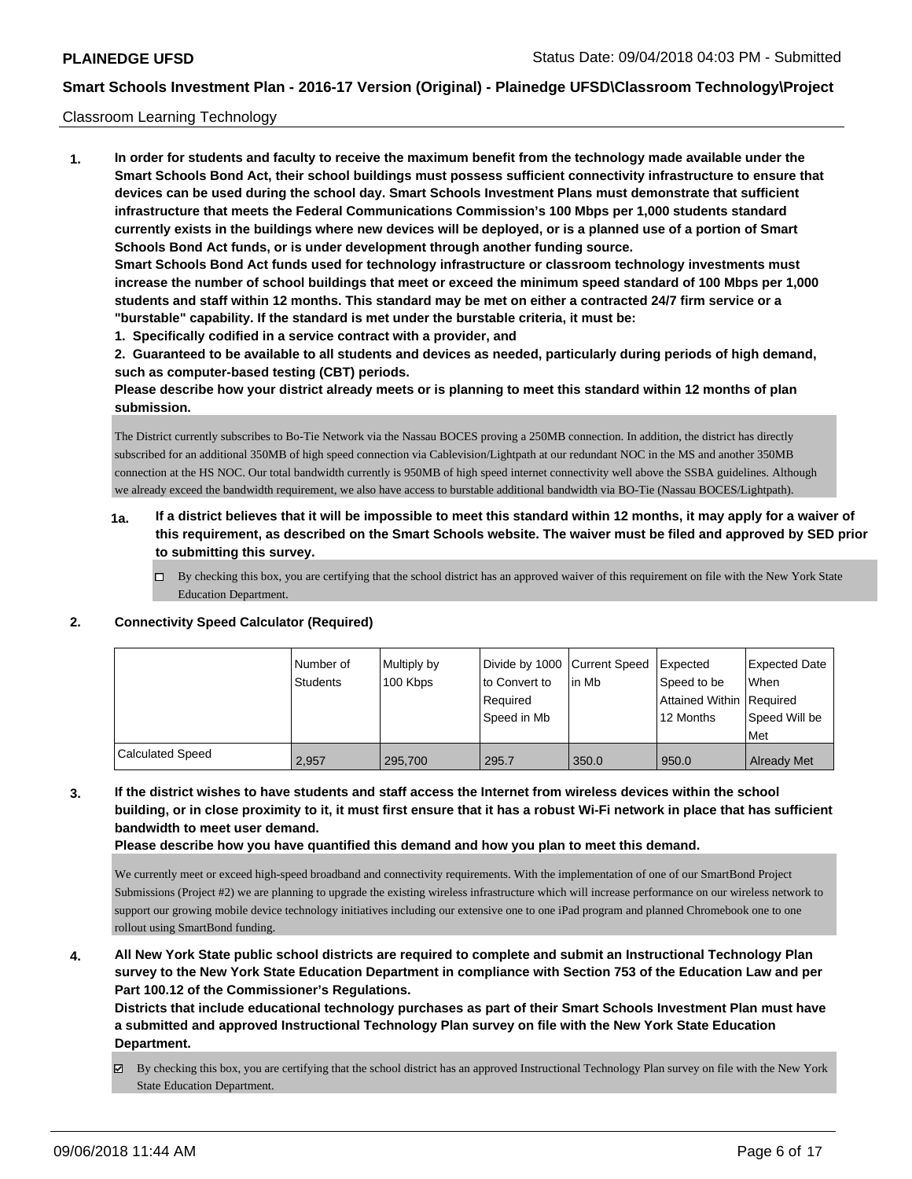#### Classroom Learning Technology

**1. In order for students and faculty to receive the maximum benefit from the technology made available under the Smart Schools Bond Act, their school buildings must possess sufficient connectivity infrastructure to ensure that devices can be used during the school day. Smart Schools Investment Plans must demonstrate that sufficient infrastructure that meets the Federal Communications Commission's 100 Mbps per 1,000 students standard currently exists in the buildings where new devices will be deployed, or is a planned use of a portion of Smart Schools Bond Act funds, or is under development through another funding source. Smart Schools Bond Act funds used for technology infrastructure or classroom technology investments must increase the number of school buildings that meet or exceed the minimum speed standard of 100 Mbps per 1,000 students and staff within 12 months. This standard may be met on either a contracted 24/7 firm service or a "burstable" capability. If the standard is met under the burstable criteria, it must be:**

**1. Specifically codified in a service contract with a provider, and**

**2. Guaranteed to be available to all students and devices as needed, particularly during periods of high demand, such as computer-based testing (CBT) periods.**

**Please describe how your district already meets or is planning to meet this standard within 12 months of plan submission.**

The District currently subscribes to Bo-Tie Network via the Nassau BOCES proving a 250MB connection. In addition, the district has directly subscribed for an additional 350MB of high speed connection via Cablevision/Lightpath at our redundant NOC in the MS and another 350MB connection at the HS NOC. Our total bandwidth currently is 950MB of high speed internet connectivity well above the SSBA guidelines. Although we already exceed the bandwidth requirement, we also have access to burstable additional bandwidth via BO-Tie (Nassau BOCES/Lightpath).

- **1a. If a district believes that it will be impossible to meet this standard within 12 months, it may apply for a waiver of this requirement, as described on the Smart Schools website. The waiver must be filed and approved by SED prior to submitting this survey.**
	- By checking this box, you are certifying that the school district has an approved waiver of this requirement on file with the New York State Education Department.

|                         | l Number of<br><b>Students</b> | Multiply by<br>100 Kbps | Divide by 1000 Current Speed<br>to Convert to<br>Required<br>Speed in Mb | lin Mb | Expected<br>Speed to be<br>Attained Within Required<br>12 Months | <b>Expected Date</b><br>When<br>Speed Will be<br>Met |
|-------------------------|--------------------------------|-------------------------|--------------------------------------------------------------------------|--------|------------------------------------------------------------------|------------------------------------------------------|
| <b>Calculated Speed</b> | 2.957                          | 295,700                 | 295.7                                                                    | 350.0  | 950.0                                                            | <b>Already Met</b>                                   |

### **2. Connectivity Speed Calculator (Required)**

**3. If the district wishes to have students and staff access the Internet from wireless devices within the school building, or in close proximity to it, it must first ensure that it has a robust Wi-Fi network in place that has sufficient bandwidth to meet user demand.**

**Please describe how you have quantified this demand and how you plan to meet this demand.**

We currently meet or exceed high-speed broadband and connectivity requirements. With the implementation of one of our SmartBond Project Submissions (Project #2) we are planning to upgrade the existing wireless infrastructure which will increase performance on our wireless network to support our growing mobile device technology initiatives including our extensive one to one iPad program and planned Chromebook one to one rollout using SmartBond funding.

**4. All New York State public school districts are required to complete and submit an Instructional Technology Plan survey to the New York State Education Department in compliance with Section 753 of the Education Law and per Part 100.12 of the Commissioner's Regulations.**

**Districts that include educational technology purchases as part of their Smart Schools Investment Plan must have a submitted and approved Instructional Technology Plan survey on file with the New York State Education Department.**

By checking this box, you are certifying that the school district has an approved Instructional Technology Plan survey on file with the New York State Education Department.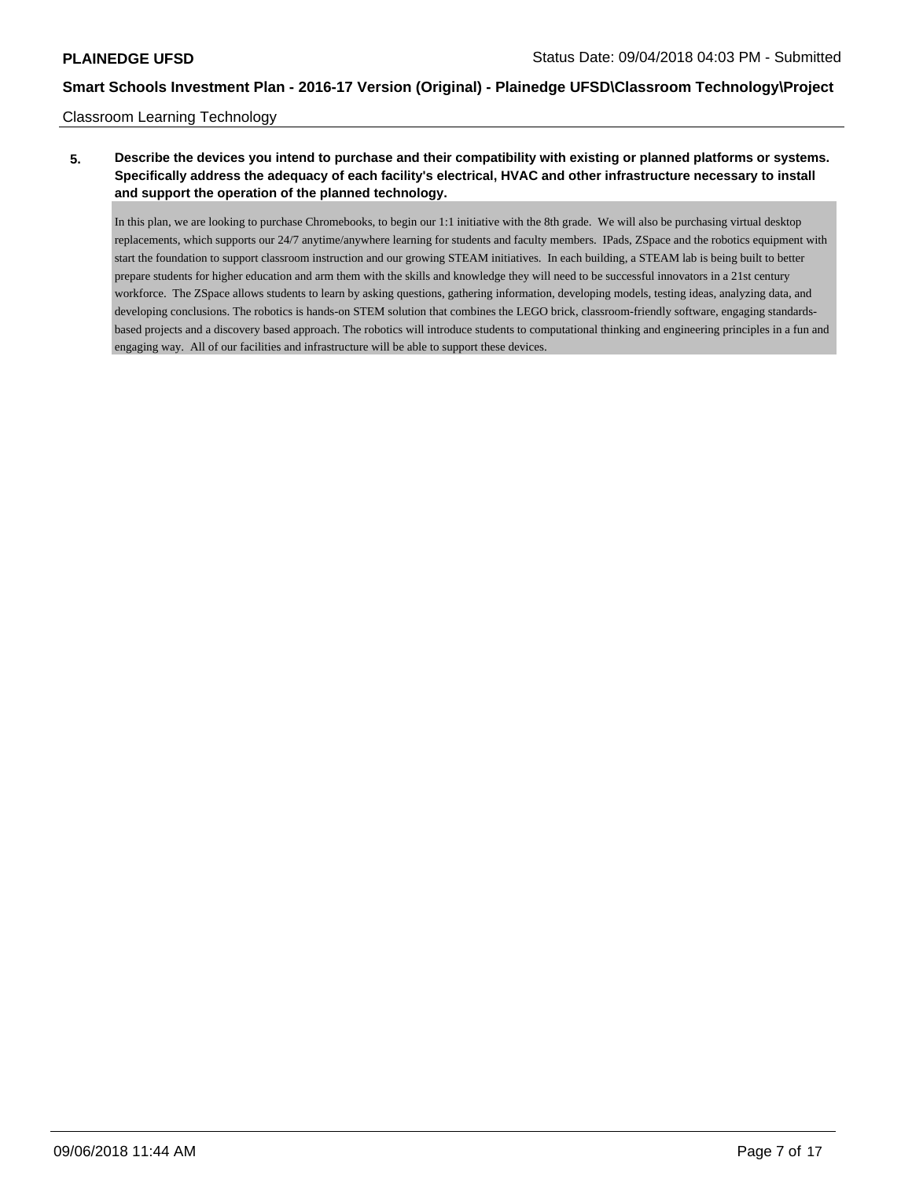### Classroom Learning Technology

### **5. Describe the devices you intend to purchase and their compatibility with existing or planned platforms or systems. Specifically address the adequacy of each facility's electrical, HVAC and other infrastructure necessary to install and support the operation of the planned technology.**

In this plan, we are looking to purchase Chromebooks, to begin our 1:1 initiative with the 8th grade. We will also be purchasing virtual desktop replacements, which supports our 24/7 anytime/anywhere learning for students and faculty members. IPads, ZSpace and the robotics equipment with start the foundation to support classroom instruction and our growing STEAM initiatives. In each building, a STEAM lab is being built to better prepare students for higher education and arm them with the skills and knowledge they will need to be successful innovators in a 21st century workforce. The ZSpace allows students to learn by asking questions, gathering information, developing models, testing ideas, analyzing data, and developing conclusions. The robotics is hands-on STEM solution that combines the LEGO brick, classroom-friendly software, engaging standardsbased projects and a discovery based approach. The robotics will introduce students to computational thinking and engineering principles in a fun and engaging way. All of our facilities and infrastructure will be able to support these devices.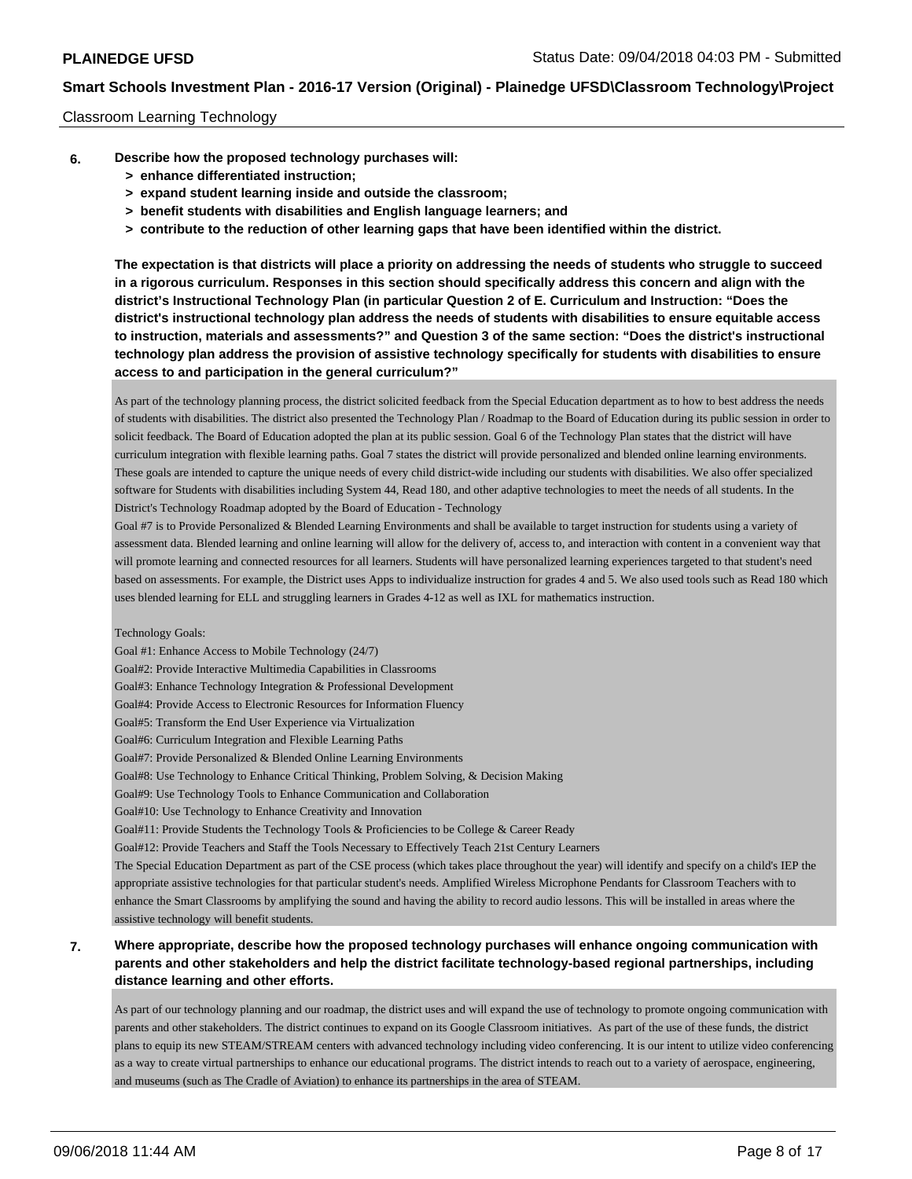#### Classroom Learning Technology

- **6. Describe how the proposed technology purchases will:**
	- **> enhance differentiated instruction;**
	- **> expand student learning inside and outside the classroom;**
	- **> benefit students with disabilities and English language learners; and**
	- **> contribute to the reduction of other learning gaps that have been identified within the district.**

**The expectation is that districts will place a priority on addressing the needs of students who struggle to succeed in a rigorous curriculum. Responses in this section should specifically address this concern and align with the district's Instructional Technology Plan (in particular Question 2 of E. Curriculum and Instruction: "Does the district's instructional technology plan address the needs of students with disabilities to ensure equitable access to instruction, materials and assessments?" and Question 3 of the same section: "Does the district's instructional technology plan address the provision of assistive technology specifically for students with disabilities to ensure access to and participation in the general curriculum?"**

As part of the technology planning process, the district solicited feedback from the Special Education department as to how to best address the needs of students with disabilities. The district also presented the Technology Plan / Roadmap to the Board of Education during its public session in order to solicit feedback. The Board of Education adopted the plan at its public session. Goal 6 of the Technology Plan states that the district will have curriculum integration with flexible learning paths. Goal 7 states the district will provide personalized and blended online learning environments. These goals are intended to capture the unique needs of every child district-wide including our students with disabilities. We also offer specialized software for Students with disabilities including System 44, Read 180, and other adaptive technologies to meet the needs of all students. In the District's Technology Roadmap adopted by the Board of Education - Technology

Goal #7 is to Provide Personalized & Blended Learning Environments and shall be available to target instruction for students using a variety of assessment data. Blended learning and online learning will allow for the delivery of, access to, and interaction with content in a convenient way that will promote learning and connected resources for all learners. Students will have personalized learning experiences targeted to that student's need based on assessments. For example, the District uses Apps to individualize instruction for grades 4 and 5. We also used tools such as Read 180 which uses blended learning for ELL and struggling learners in Grades 4-12 as well as IXL for mathematics instruction.

#### Technology Goals:

Goal #1: Enhance Access to Mobile Technology (24/7) Goal#2: Provide Interactive Multimedia Capabilities in Classrooms Goal#3: Enhance Technology Integration & Professional Development Goal#4: Provide Access to Electronic Resources for Information Fluency Goal#5: Transform the End User Experience via Virtualization Goal#6: Curriculum Integration and Flexible Learning Paths Goal#7: Provide Personalized & Blended Online Learning Environments Goal#8: Use Technology to Enhance Critical Thinking, Problem Solving, & Decision Making Goal#9: Use Technology Tools to Enhance Communication and Collaboration Goal#10: Use Technology to Enhance Creativity and Innovation Goal#11: Provide Students the Technology Tools & Proficiencies to be College & Career Ready Goal#12: Provide Teachers and Staff the Tools Necessary to Effectively Teach 21st Century Learners The Special Education Department as part of the CSE process (which takes place throughout the year) will identify and specify on a child's IEP the appropriate assistive technologies for that particular student's needs. Amplified Wireless Microphone Pendants for Classroom Teachers with to enhance the Smart Classrooms by amplifying the sound and having the ability to record audio lessons. This will be installed in areas where the assistive technology will benefit students.

### **7. Where appropriate, describe how the proposed technology purchases will enhance ongoing communication with parents and other stakeholders and help the district facilitate technology-based regional partnerships, including distance learning and other efforts.**

As part of our technology planning and our roadmap, the district uses and will expand the use of technology to promote ongoing communication with parents and other stakeholders. The district continues to expand on its Google Classroom initiatives. As part of the use of these funds, the district plans to equip its new STEAM/STREAM centers with advanced technology including video conferencing. It is our intent to utilize video conferencing as a way to create virtual partnerships to enhance our educational programs. The district intends to reach out to a variety of aerospace, engineering, and museums (such as The Cradle of Aviation) to enhance its partnerships in the area of STEAM.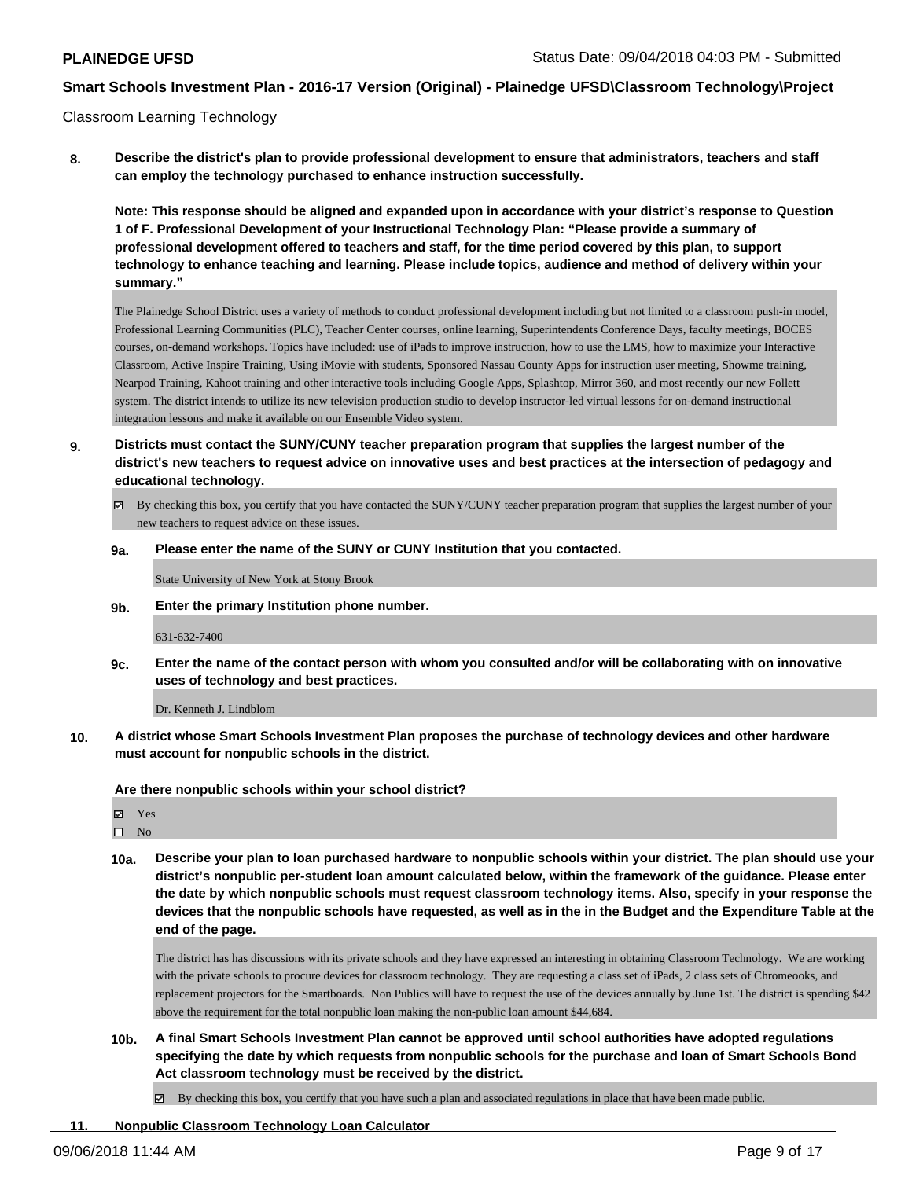#### Classroom Learning Technology

**8. Describe the district's plan to provide professional development to ensure that administrators, teachers and staff can employ the technology purchased to enhance instruction successfully.**

**Note: This response should be aligned and expanded upon in accordance with your district's response to Question 1 of F. Professional Development of your Instructional Technology Plan: "Please provide a summary of professional development offered to teachers and staff, for the time period covered by this plan, to support technology to enhance teaching and learning. Please include topics, audience and method of delivery within your summary."**

The Plainedge School District uses a variety of methods to conduct professional development including but not limited to a classroom push-in model, Professional Learning Communities (PLC), Teacher Center courses, online learning, Superintendents Conference Days, faculty meetings, BOCES courses, on-demand workshops. Topics have included: use of iPads to improve instruction, how to use the LMS, how to maximize your Interactive Classroom, Active Inspire Training, Using iMovie with students, Sponsored Nassau County Apps for instruction user meeting, Showme training, Nearpod Training, Kahoot training and other interactive tools including Google Apps, Splashtop, Mirror 360, and most recently our new Follett system. The district intends to utilize its new television production studio to develop instructor-led virtual lessons for on-demand instructional integration lessons and make it available on our Ensemble Video system.

- **9. Districts must contact the SUNY/CUNY teacher preparation program that supplies the largest number of the district's new teachers to request advice on innovative uses and best practices at the intersection of pedagogy and educational technology.**
	- By checking this box, you certify that you have contacted the SUNY/CUNY teacher preparation program that supplies the largest number of your new teachers to request advice on these issues.

#### **9a. Please enter the name of the SUNY or CUNY Institution that you contacted.**

State University of New York at Stony Brook

**9b. Enter the primary Institution phone number.**

#### 631-632-7400

**9c. Enter the name of the contact person with whom you consulted and/or will be collaborating with on innovative uses of technology and best practices.**

Dr. Kenneth J. Lindblom

**10. A district whose Smart Schools Investment Plan proposes the purchase of technology devices and other hardware must account for nonpublic schools in the district.**

**Are there nonpublic schools within your school district?**

Yes

 $\square$  No

**10a. Describe your plan to loan purchased hardware to nonpublic schools within your district. The plan should use your district's nonpublic per-student loan amount calculated below, within the framework of the guidance. Please enter the date by which nonpublic schools must request classroom technology items. Also, specify in your response the devices that the nonpublic schools have requested, as well as in the in the Budget and the Expenditure Table at the end of the page.**

The district has has discussions with its private schools and they have expressed an interesting in obtaining Classroom Technology. We are working with the private schools to procure devices for classroom technology. They are requesting a class set of iPads, 2 class sets of Chromeooks, and replacement projectors for the Smartboards. Non Publics will have to request the use of the devices annually by June 1st. The district is spending \$42 above the requirement for the total nonpublic loan making the non-public loan amount \$44,684.

**10b. A final Smart Schools Investment Plan cannot be approved until school authorities have adopted regulations specifying the date by which requests from nonpublic schools for the purchase and loan of Smart Schools Bond Act classroom technology must be received by the district.**

 $\boxtimes$  By checking this box, you certify that you have such a plan and associated regulations in place that have been made public.

### **11. Nonpublic Classroom Technology Loan Calculator**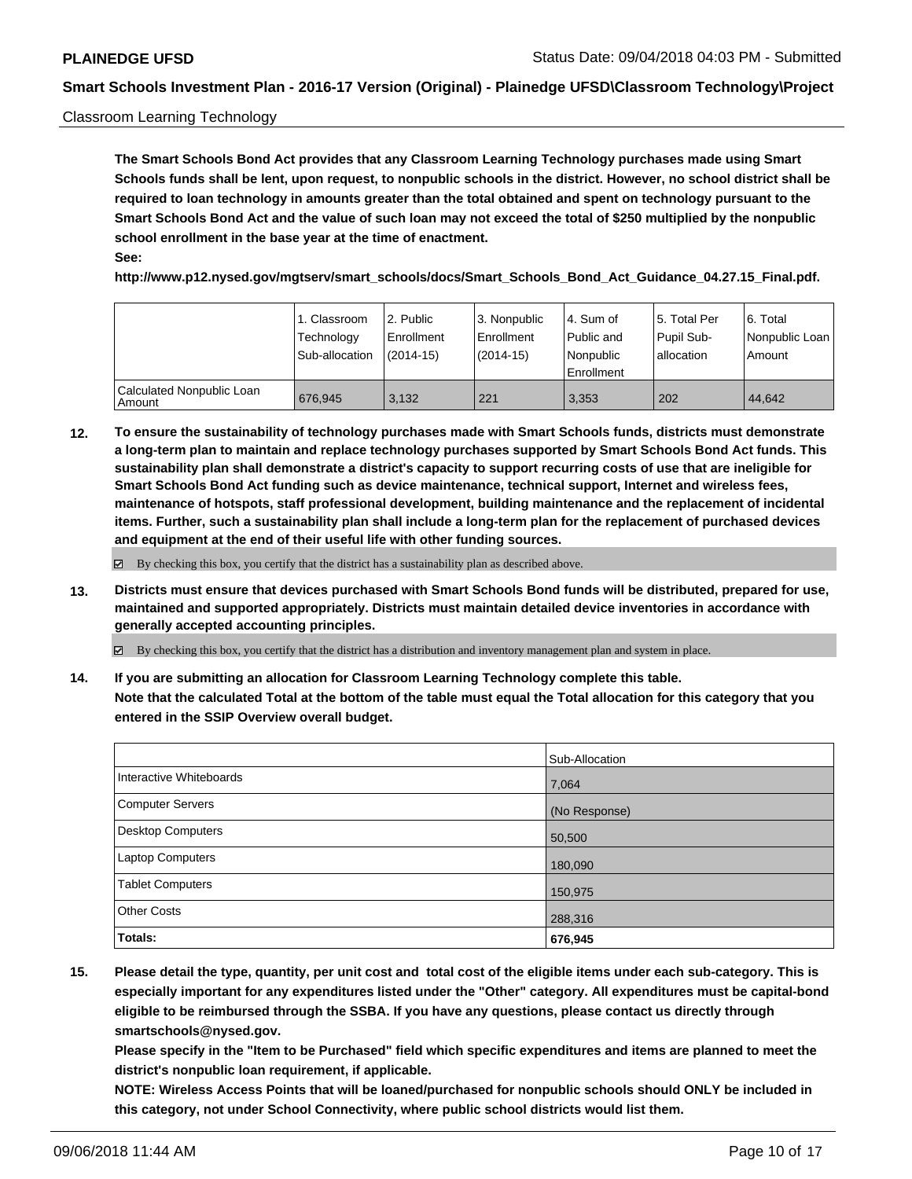#### Classroom Learning Technology

**The Smart Schools Bond Act provides that any Classroom Learning Technology purchases made using Smart Schools funds shall be lent, upon request, to nonpublic schools in the district. However, no school district shall be required to loan technology in amounts greater than the total obtained and spent on technology pursuant to the Smart Schools Bond Act and the value of such loan may not exceed the total of \$250 multiplied by the nonpublic school enrollment in the base year at the time of enactment. See:**

**http://www.p12.nysed.gov/mgtserv/smart\_schools/docs/Smart\_Schools\_Bond\_Act\_Guidance\_04.27.15\_Final.pdf.**

|                                       | 1. Classroom<br>Technology<br>Sub-allocation | 12. Public<br>Enrollment<br>(2014-15) | 3. Nonpublic<br>Enrollment<br>$(2014-15)$ | l 4. Sum of<br>Public and<br>l Nonpublic<br>l Enrollment | 15. Total Per<br>Pupil Sub-<br>l allocation | l 6. Total<br>Nonpublic Loan<br>Amount |
|---------------------------------------|----------------------------------------------|---------------------------------------|-------------------------------------------|----------------------------------------------------------|---------------------------------------------|----------------------------------------|
| Calculated Nonpublic Loan<br>l Amount | 676.945                                      | 3.132                                 | 221                                       | 3.353                                                    | 202                                         | 44.642                                 |

**12. To ensure the sustainability of technology purchases made with Smart Schools funds, districts must demonstrate a long-term plan to maintain and replace technology purchases supported by Smart Schools Bond Act funds. This sustainability plan shall demonstrate a district's capacity to support recurring costs of use that are ineligible for Smart Schools Bond Act funding such as device maintenance, technical support, Internet and wireless fees, maintenance of hotspots, staff professional development, building maintenance and the replacement of incidental items. Further, such a sustainability plan shall include a long-term plan for the replacement of purchased devices and equipment at the end of their useful life with other funding sources.**

By checking this box, you certify that the district has a sustainability plan as described above.

**13. Districts must ensure that devices purchased with Smart Schools Bond funds will be distributed, prepared for use, maintained and supported appropriately. Districts must maintain detailed device inventories in accordance with generally accepted accounting principles.**

By checking this box, you certify that the district has a distribution and inventory management plan and system in place.

**14. If you are submitting an allocation for Classroom Learning Technology complete this table. Note that the calculated Total at the bottom of the table must equal the Total allocation for this category that you entered in the SSIP Overview overall budget.**

|                          | Sub-Allocation |
|--------------------------|----------------|
| Interactive Whiteboards  | 7,064          |
| <b>Computer Servers</b>  | (No Response)  |
| <b>Desktop Computers</b> | 50,500         |
| Laptop Computers         | 180,090        |
| <b>Tablet Computers</b>  | 150,975        |
| <b>Other Costs</b>       | 288,316        |
| Totals:                  | 676,945        |

**15. Please detail the type, quantity, per unit cost and total cost of the eligible items under each sub-category. This is especially important for any expenditures listed under the "Other" category. All expenditures must be capital-bond eligible to be reimbursed through the SSBA. If you have any questions, please contact us directly through smartschools@nysed.gov.**

**Please specify in the "Item to be Purchased" field which specific expenditures and items are planned to meet the district's nonpublic loan requirement, if applicable.**

**NOTE: Wireless Access Points that will be loaned/purchased for nonpublic schools should ONLY be included in this category, not under School Connectivity, where public school districts would list them.**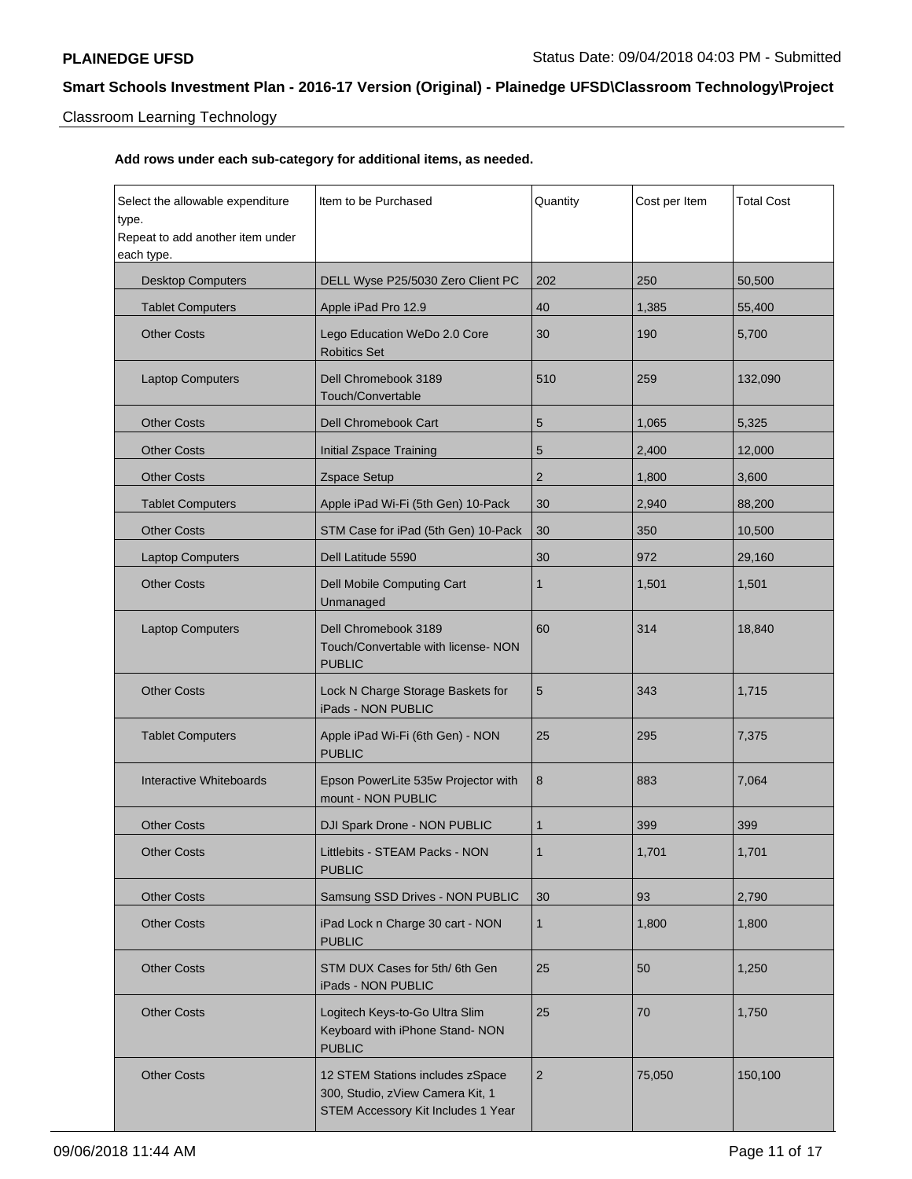# Classroom Learning Technology

| Select the allowable expenditure<br>type.<br>Repeat to add another item under<br>each type. | Item to be Purchased                                                                                       | Quantity       | Cost per Item | <b>Total Cost</b> |
|---------------------------------------------------------------------------------------------|------------------------------------------------------------------------------------------------------------|----------------|---------------|-------------------|
| <b>Desktop Computers</b>                                                                    | DELL Wyse P25/5030 Zero Client PC                                                                          | 202            | 250           | 50,500            |
| <b>Tablet Computers</b>                                                                     | Apple iPad Pro 12.9                                                                                        | 40             | 1,385         | 55,400            |
| <b>Other Costs</b>                                                                          | Lego Education WeDo 2.0 Core<br><b>Robitics Set</b>                                                        | 30             | 190           | 5,700             |
| <b>Laptop Computers</b>                                                                     | Dell Chromebook 3189<br>Touch/Convertable                                                                  | 510            | 259           | 132,090           |
| <b>Other Costs</b>                                                                          | Dell Chromebook Cart                                                                                       | 5              | 1,065         | 5,325             |
| <b>Other Costs</b>                                                                          | Initial Zspace Training                                                                                    | 5              | 2,400         | 12,000            |
| <b>Other Costs</b>                                                                          | Zspace Setup                                                                                               | $\overline{2}$ | 1,800         | 3,600             |
| <b>Tablet Computers</b>                                                                     | Apple iPad Wi-Fi (5th Gen) 10-Pack                                                                         | 30             | 2,940         | 88,200            |
| <b>Other Costs</b>                                                                          | STM Case for iPad (5th Gen) 10-Pack                                                                        | 30             | 350           | 10,500            |
| <b>Laptop Computers</b>                                                                     | Dell Latitude 5590                                                                                         | 30             | 972           | 29,160            |
| <b>Other Costs</b>                                                                          | Dell Mobile Computing Cart<br>Unmanaged                                                                    | 1              | 1,501         | 1,501             |
| <b>Laptop Computers</b>                                                                     | Dell Chromebook 3189<br>Touch/Convertable with license- NON<br><b>PUBLIC</b>                               | 60             | 314           | 18,840            |
| <b>Other Costs</b>                                                                          | Lock N Charge Storage Baskets for<br>iPads - NON PUBLIC                                                    | 5              | 343           | 1,715             |
| <b>Tablet Computers</b>                                                                     | Apple iPad Wi-Fi (6th Gen) - NON<br><b>PUBLIC</b>                                                          | 25             | 295           | 7,375             |
| Interactive Whiteboards                                                                     | Epson PowerLite 535w Projector with<br>mount - NON PUBLIC                                                  | 8              | 883           | 7,064             |
| <b>Other Costs</b>                                                                          | DJI Spark Drone - NON PUBLIC                                                                               | 1              | 399           | 399               |
| <b>Other Costs</b>                                                                          | Littlebits - STEAM Packs - NON<br><b>PUBLIC</b>                                                            | 1              | 1,701         | 1,701             |
| <b>Other Costs</b>                                                                          | Samsung SSD Drives - NON PUBLIC                                                                            | 30             | 93            | 2,790             |
| <b>Other Costs</b>                                                                          | iPad Lock n Charge 30 cart - NON<br><b>PUBLIC</b>                                                          | 1              | 1,800         | 1,800             |
| <b>Other Costs</b>                                                                          | STM DUX Cases for 5th/6th Gen<br>iPads - NON PUBLIC                                                        | 25             | 50            | 1,250             |
| <b>Other Costs</b>                                                                          | Logitech Keys-to-Go Ultra Slim<br>Keyboard with iPhone Stand- NON<br><b>PUBLIC</b>                         | 25             | 70            | 1,750             |
| <b>Other Costs</b>                                                                          | 12 STEM Stations includes zSpace<br>300, Studio, zView Camera Kit, 1<br>STEM Accessory Kit Includes 1 Year | $\overline{2}$ | 75,050        | 150,100           |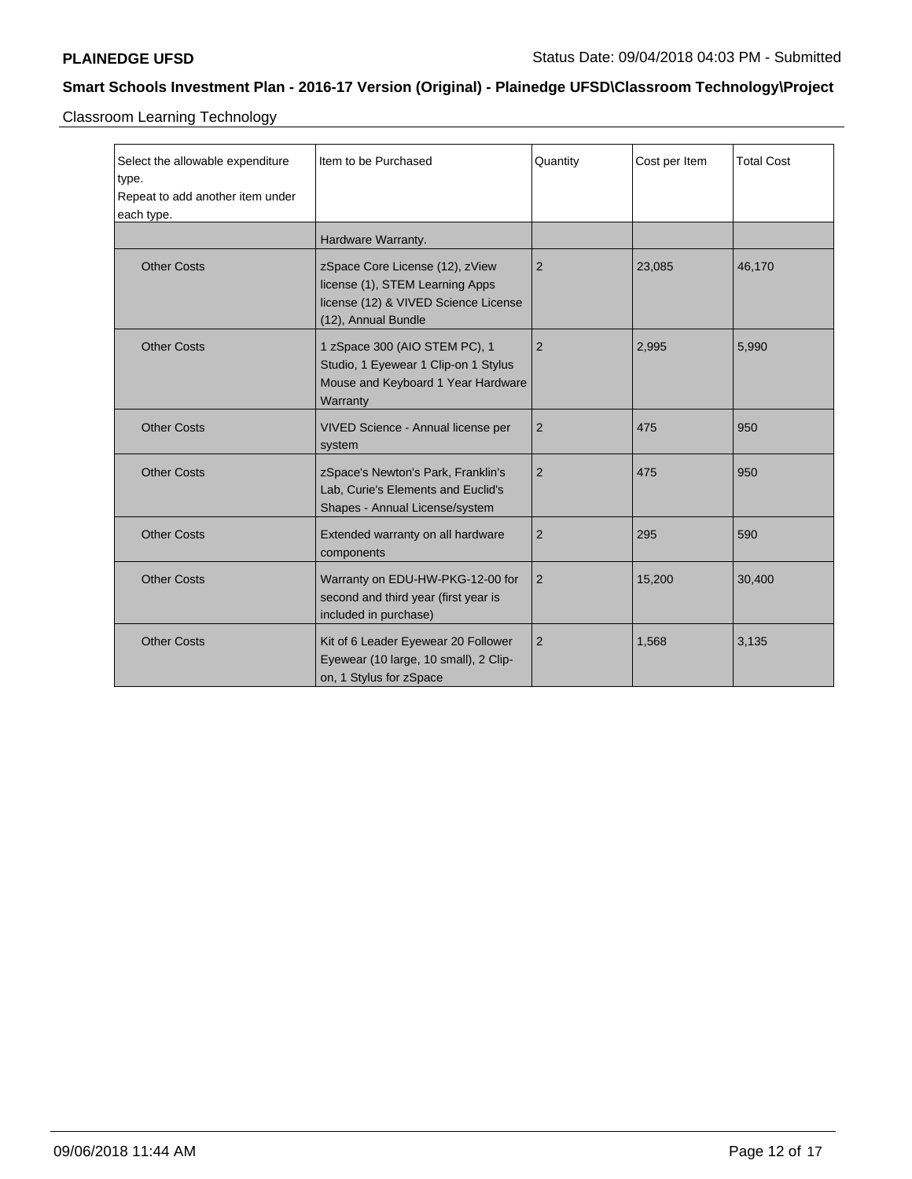Classroom Learning Technology

| Select the allowable expenditure<br>type.<br>Repeat to add another item under<br>each type. | Item to be Purchased                                                                                                              | Quantity       | Cost per Item | <b>Total Cost</b> |
|---------------------------------------------------------------------------------------------|-----------------------------------------------------------------------------------------------------------------------------------|----------------|---------------|-------------------|
|                                                                                             | Hardware Warranty.                                                                                                                |                |               |                   |
| <b>Other Costs</b>                                                                          | zSpace Core License (12), zView<br>license (1), STEM Learning Apps<br>license (12) & VIVED Science License<br>(12), Annual Bundle | $\overline{2}$ | 23,085        | 46,170            |
| <b>Other Costs</b>                                                                          | 1 zSpace 300 (AIO STEM PC), 1<br>Studio, 1 Eyewear 1 Clip-on 1 Stylus<br>Mouse and Keyboard 1 Year Hardware<br>Warranty           | $\overline{2}$ | 2,995         | 5,990             |
| <b>Other Costs</b>                                                                          | VIVED Science - Annual license per<br>system                                                                                      | $\overline{2}$ | 475           | 950               |
| <b>Other Costs</b>                                                                          | zSpace's Newton's Park, Franklin's<br>Lab, Curie's Elements and Euclid's<br>Shapes - Annual License/system                        | $\overline{2}$ | 475           | 950               |
| <b>Other Costs</b>                                                                          | Extended warranty on all hardware<br>components                                                                                   | 2              | 295           | 590               |
| <b>Other Costs</b>                                                                          | Warranty on EDU-HW-PKG-12-00 for<br>second and third year (first year is<br>included in purchase)                                 | 2              | 15,200        | 30,400            |
| <b>Other Costs</b>                                                                          | Kit of 6 Leader Eyewear 20 Follower<br>Eyewear (10 large, 10 small), 2 Clip-<br>on, 1 Stylus for zSpace                           | $\overline{2}$ | 1,568         | 3,135             |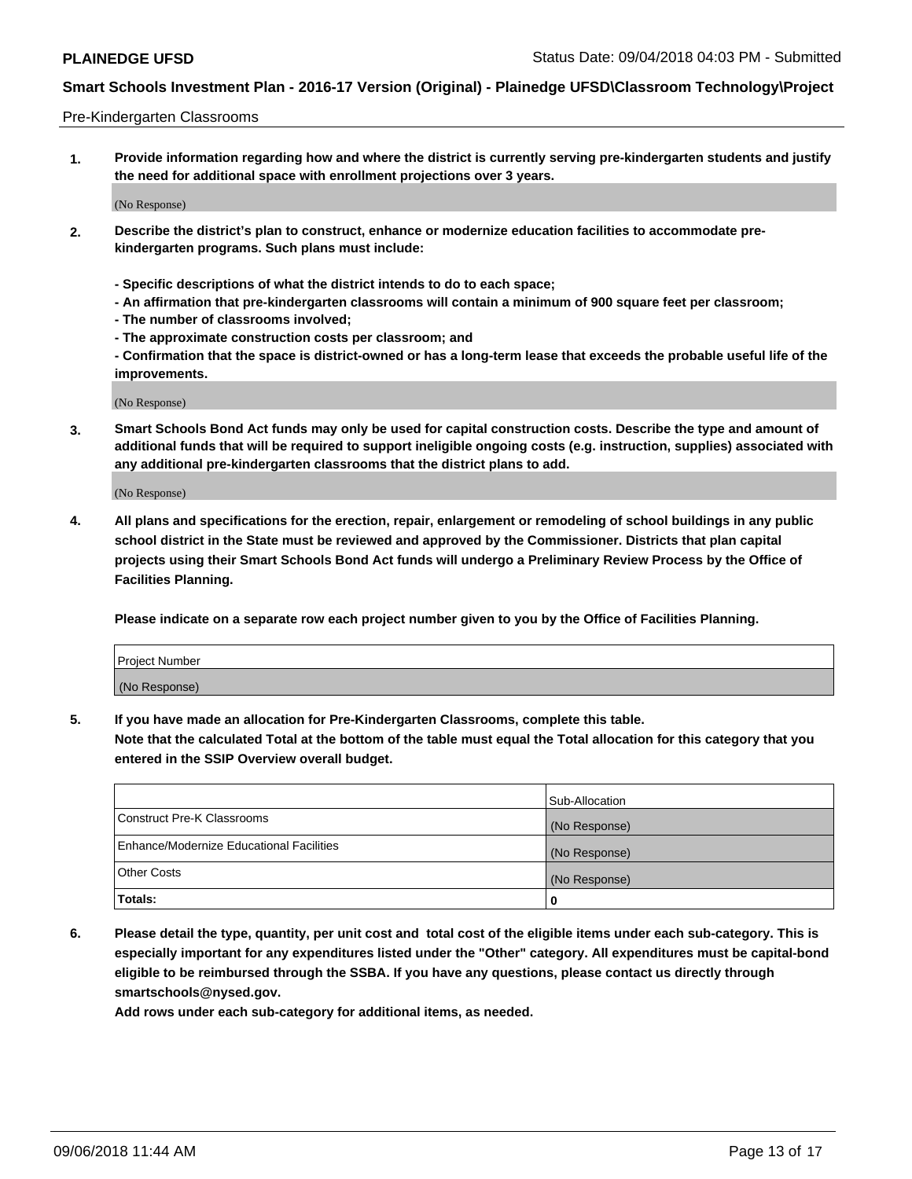#### Pre-Kindergarten Classrooms

**1. Provide information regarding how and where the district is currently serving pre-kindergarten students and justify the need for additional space with enrollment projections over 3 years.**

(No Response)

- **2. Describe the district's plan to construct, enhance or modernize education facilities to accommodate prekindergarten programs. Such plans must include:**
	- **Specific descriptions of what the district intends to do to each space;**
	- **An affirmation that pre-kindergarten classrooms will contain a minimum of 900 square feet per classroom;**
	- **The number of classrooms involved;**
	- **The approximate construction costs per classroom; and**
	- **Confirmation that the space is district-owned or has a long-term lease that exceeds the probable useful life of the improvements.**

(No Response)

**3. Smart Schools Bond Act funds may only be used for capital construction costs. Describe the type and amount of additional funds that will be required to support ineligible ongoing costs (e.g. instruction, supplies) associated with any additional pre-kindergarten classrooms that the district plans to add.**

(No Response)

**4. All plans and specifications for the erection, repair, enlargement or remodeling of school buildings in any public school district in the State must be reviewed and approved by the Commissioner. Districts that plan capital projects using their Smart Schools Bond Act funds will undergo a Preliminary Review Process by the Office of Facilities Planning.**

**Please indicate on a separate row each project number given to you by the Office of Facilities Planning.**

| Project Number |  |
|----------------|--|
| (No Response)  |  |
|                |  |

**5. If you have made an allocation for Pre-Kindergarten Classrooms, complete this table.**

**Note that the calculated Total at the bottom of the table must equal the Total allocation for this category that you entered in the SSIP Overview overall budget.**

|                                          | Sub-Allocation |
|------------------------------------------|----------------|
| Construct Pre-K Classrooms               | (No Response)  |
| Enhance/Modernize Educational Facilities | (No Response)  |
| <b>Other Costs</b>                       | (No Response)  |
| Totals:                                  | 0              |

**6. Please detail the type, quantity, per unit cost and total cost of the eligible items under each sub-category. This is especially important for any expenditures listed under the "Other" category. All expenditures must be capital-bond eligible to be reimbursed through the SSBA. If you have any questions, please contact us directly through smartschools@nysed.gov.**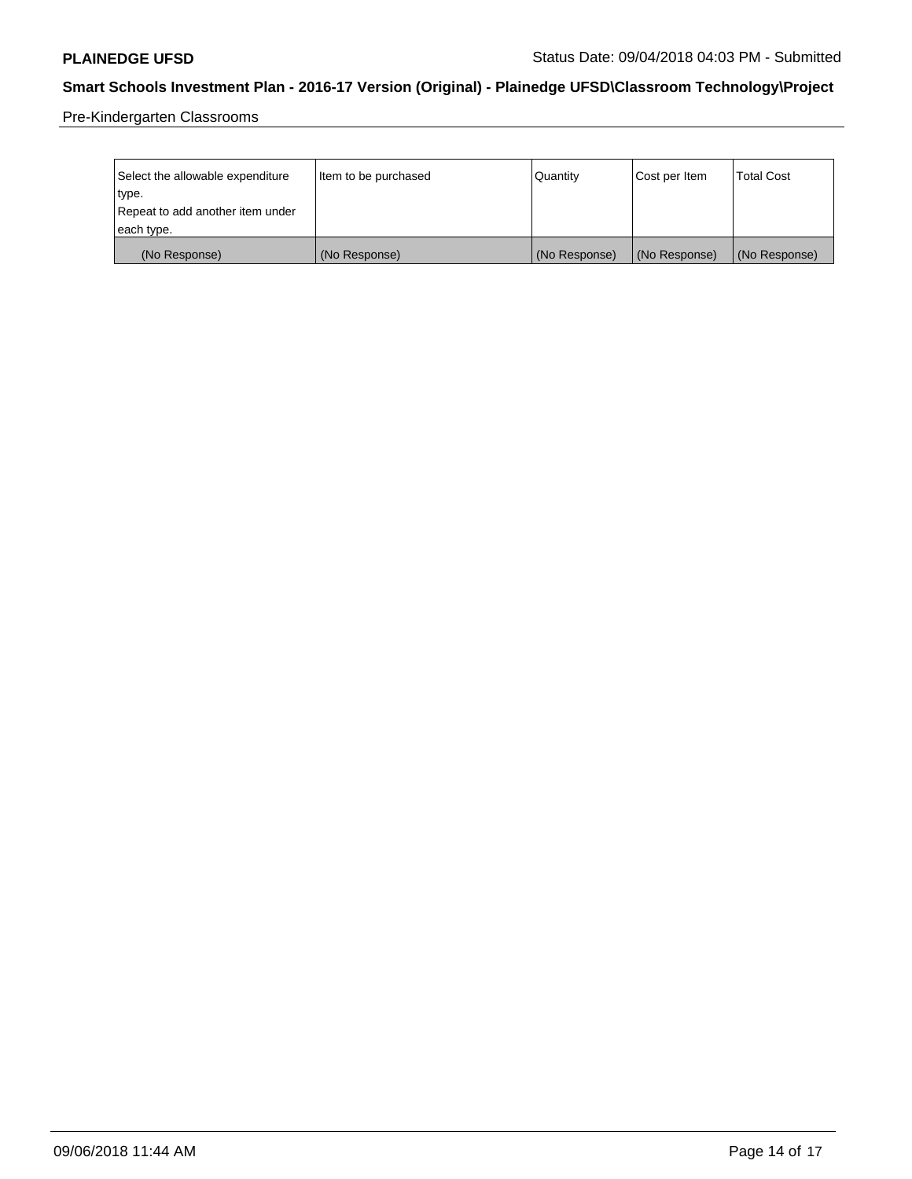Pre-Kindergarten Classrooms

| Select the allowable expenditure | Item to be purchased | Quantity      | Cost per Item | <b>Total Cost</b> |
|----------------------------------|----------------------|---------------|---------------|-------------------|
| type.                            |                      |               |               |                   |
| Repeat to add another item under |                      |               |               |                   |
| each type.                       |                      |               |               |                   |
| (No Response)                    | (No Response)        | (No Response) | (No Response) | (No Response)     |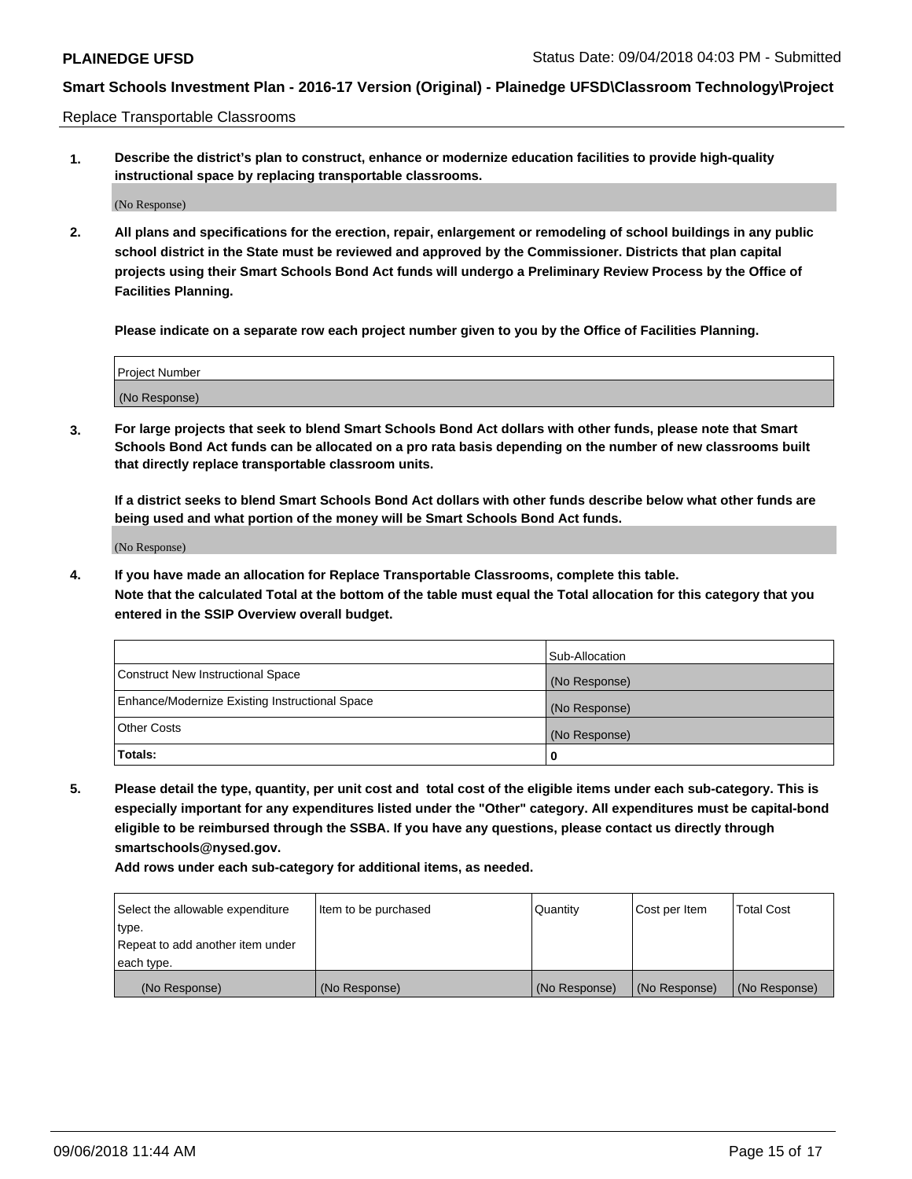Replace Transportable Classrooms

**1. Describe the district's plan to construct, enhance or modernize education facilities to provide high-quality instructional space by replacing transportable classrooms.**

(No Response)

**2. All plans and specifications for the erection, repair, enlargement or remodeling of school buildings in any public school district in the State must be reviewed and approved by the Commissioner. Districts that plan capital projects using their Smart Schools Bond Act funds will undergo a Preliminary Review Process by the Office of Facilities Planning.**

**Please indicate on a separate row each project number given to you by the Office of Facilities Planning.**

| Project Number |               |  |
|----------------|---------------|--|
|                |               |  |
|                |               |  |
|                | (No Response) |  |

**3. For large projects that seek to blend Smart Schools Bond Act dollars with other funds, please note that Smart Schools Bond Act funds can be allocated on a pro rata basis depending on the number of new classrooms built that directly replace transportable classroom units.**

**If a district seeks to blend Smart Schools Bond Act dollars with other funds describe below what other funds are being used and what portion of the money will be Smart Schools Bond Act funds.**

(No Response)

**4. If you have made an allocation for Replace Transportable Classrooms, complete this table. Note that the calculated Total at the bottom of the table must equal the Total allocation for this category that you entered in the SSIP Overview overall budget.**

|                                                | Sub-Allocation |
|------------------------------------------------|----------------|
| Construct New Instructional Space              | (No Response)  |
| Enhance/Modernize Existing Instructional Space | (No Response)  |
| <b>Other Costs</b>                             | (No Response)  |
| Totals:                                        | 0              |

**5. Please detail the type, quantity, per unit cost and total cost of the eligible items under each sub-category. This is especially important for any expenditures listed under the "Other" category. All expenditures must be capital-bond eligible to be reimbursed through the SSBA. If you have any questions, please contact us directly through smartschools@nysed.gov.**

| Select the allowable expenditure | Item to be purchased | l Quantitv    | Cost per Item | <b>Total Cost</b> |
|----------------------------------|----------------------|---------------|---------------|-------------------|
| type.                            |                      |               |               |                   |
| Repeat to add another item under |                      |               |               |                   |
| each type.                       |                      |               |               |                   |
| (No Response)                    | (No Response)        | (No Response) | (No Response) | (No Response)     |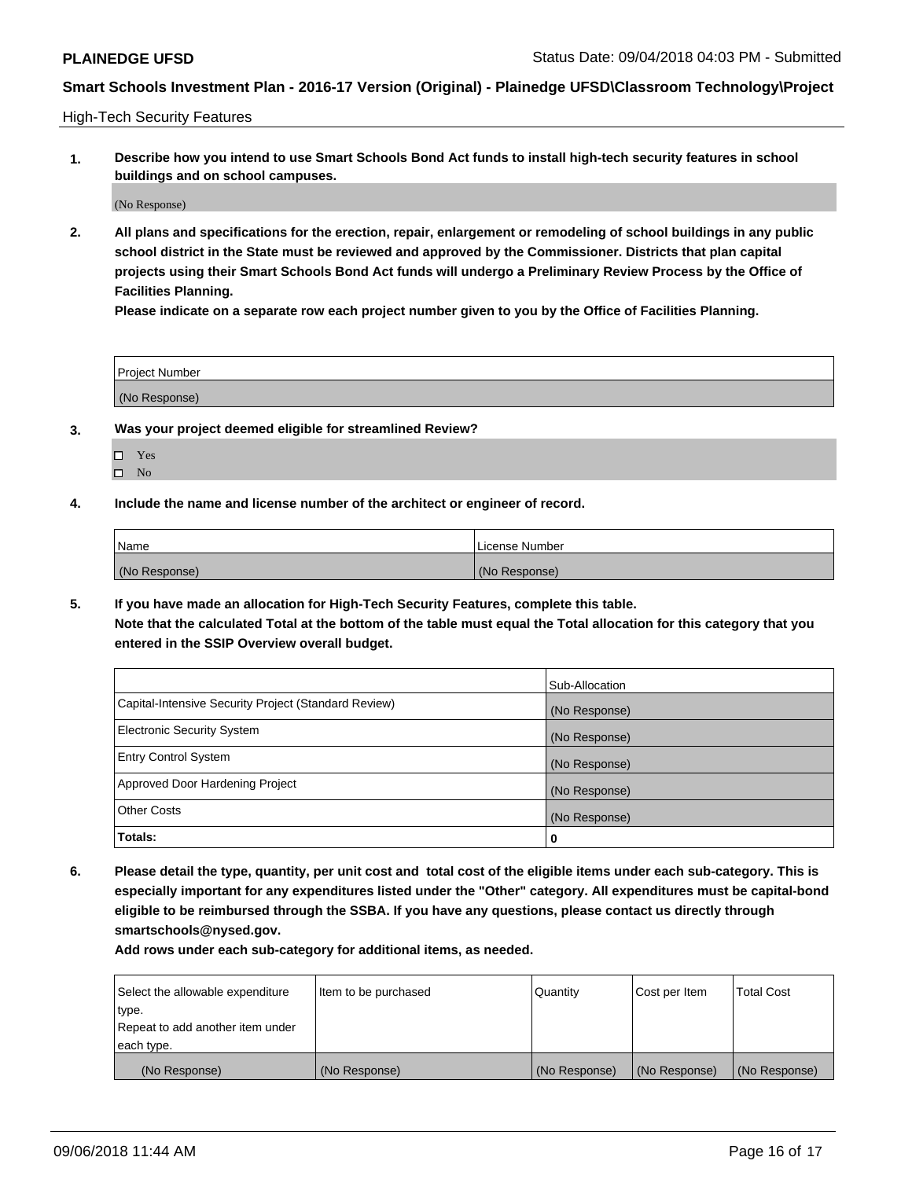High-Tech Security Features

**1. Describe how you intend to use Smart Schools Bond Act funds to install high-tech security features in school buildings and on school campuses.**

(No Response)

**2. All plans and specifications for the erection, repair, enlargement or remodeling of school buildings in any public school district in the State must be reviewed and approved by the Commissioner. Districts that plan capital projects using their Smart Schools Bond Act funds will undergo a Preliminary Review Process by the Office of Facilities Planning.** 

**Please indicate on a separate row each project number given to you by the Office of Facilities Planning.**

| <b>Project Number</b> |  |
|-----------------------|--|
| (No Response)         |  |

- **3. Was your project deemed eligible for streamlined Review?**
	- Yes
	- $\square$  No
- **4. Include the name and license number of the architect or engineer of record.**

| <b>Name</b>   | License Number |
|---------------|----------------|
| (No Response) | (No Response)  |

**5. If you have made an allocation for High-Tech Security Features, complete this table.**

**Note that the calculated Total at the bottom of the table must equal the Total allocation for this category that you entered in the SSIP Overview overall budget.**

|                                                      | Sub-Allocation |
|------------------------------------------------------|----------------|
| Capital-Intensive Security Project (Standard Review) | (No Response)  |
| <b>Electronic Security System</b>                    | (No Response)  |
| <b>Entry Control System</b>                          | (No Response)  |
| Approved Door Hardening Project                      | (No Response)  |
| <b>Other Costs</b>                                   | (No Response)  |
| Totals:                                              | 0              |

**6. Please detail the type, quantity, per unit cost and total cost of the eligible items under each sub-category. This is especially important for any expenditures listed under the "Other" category. All expenditures must be capital-bond eligible to be reimbursed through the SSBA. If you have any questions, please contact us directly through smartschools@nysed.gov.**

| Select the allowable expenditure | Item to be purchased | Quantity      | Cost per Item | <b>Total Cost</b> |
|----------------------------------|----------------------|---------------|---------------|-------------------|
| type.                            |                      |               |               |                   |
| Repeat to add another item under |                      |               |               |                   |
| each type.                       |                      |               |               |                   |
| (No Response)                    | (No Response)        | (No Response) | (No Response) | (No Response)     |